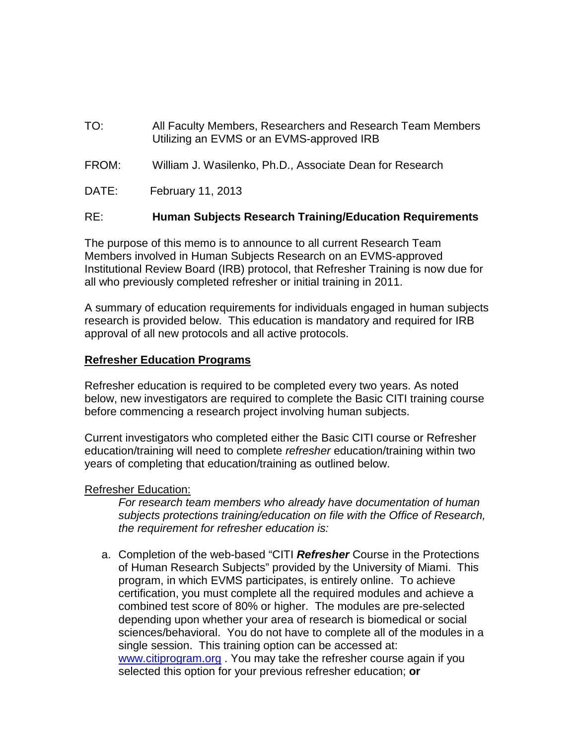- TO: All Faculty Members, Researchers and Research Team Members Utilizing an EVMS or an EVMS-approved IRB
- FROM: William J. Wasilenko, Ph.D., Associate Dean for Research
- DATE: February 11, 2013

## RE: **Human Subjects Research Training/Education Requirements**

The purpose of this memo is to announce to all current Research Team Members involved in Human Subjects Research on an EVMS-approved Institutional Review Board (IRB) protocol, that Refresher Training is now due for all who previously completed refresher or initial training in 2011.

A summary of education requirements for individuals engaged in human subjects research is provided below. This education is mandatory and required for IRB approval of all new protocols and all active protocols.

## **Refresher Education Programs**

Refresher education is required to be completed every two years. As noted below, new investigators are required to complete the Basic CITI training course before commencing a research project involving human subjects.

Current investigators who completed either the Basic CITI course or Refresher education/training will need to complete *refresher* education/training within two years of completing that education/training as outlined below.

## Refresher Education:

*For research team members who already have documentation of human subjects protections training/education on file with the Office of Research, the requirement for refresher education is:*

a. Completion of the web-based "CITI *Refresher* Course in the Protections of Human Research Subjects" provided by the University of Miami. This program, in which EVMS participates, is entirely online. To achieve certification, you must complete all the required modules and achieve a combined test score of 80% or higher. The modules are pre-selected depending upon whether your area of research is biomedical or social sciences/behavioral. You do not have to complete all of the modules in a single session. This training option can be accessed at: [www.citiprogram.org](http://www.citiprogram.org/). You may take the refresher course again if you selected this option for your previous refresher education; **or**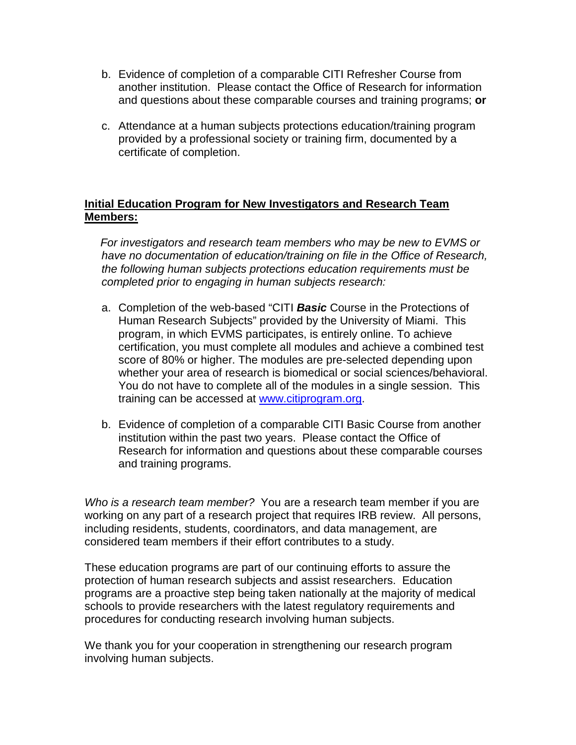- b. Evidence of completion of a comparable CITI Refresher Course from another institution. Please contact the Office of Research for information and questions about these comparable courses and training programs; **or**
- c. Attendance at a human subjects protections education/training program provided by a professional society or training firm, documented by a certificate of completion.

## **Initial Education Program for New Investigators and Research Team Members:**

 *For investigators and research team members who may be new to EVMS or have no documentation of education/training on file in the Office of Research, the following human subjects protections education requirements must be completed prior to engaging in human subjects research:*

- a. Completion of the web-based "CITI *Basic* Course in the Protections of Human Research Subjects" provided by the University of Miami. This program, in which EVMS participates, is entirely online. To achieve certification, you must complete all modules and achieve a combined test score of 80% or higher. The modules are pre-selected depending upon whether your area of research is biomedical or social sciences/behavioral. You do not have to complete all of the modules in a single session. This training can be accessed at [www.citiprogram.org.](http://www.citiprogram.org/)
- b. Evidence of completion of a comparable CITI Basic Course from another institution within the past two years. Please contact the Office of Research for information and questions about these comparable courses and training programs.

*Who is a research team member?* You are a research team member if you are working on any part of a research project that requires IRB review. All persons, including residents, students, coordinators, and data management, are considered team members if their effort contributes to a study.

These education programs are part of our continuing efforts to assure the protection of human research subjects and assist researchers. Education programs are a proactive step being taken nationally at the majority of medical schools to provide researchers with the latest regulatory requirements and procedures for conducting research involving human subjects.

We thank you for your cooperation in strengthening our research program involving human subjects.